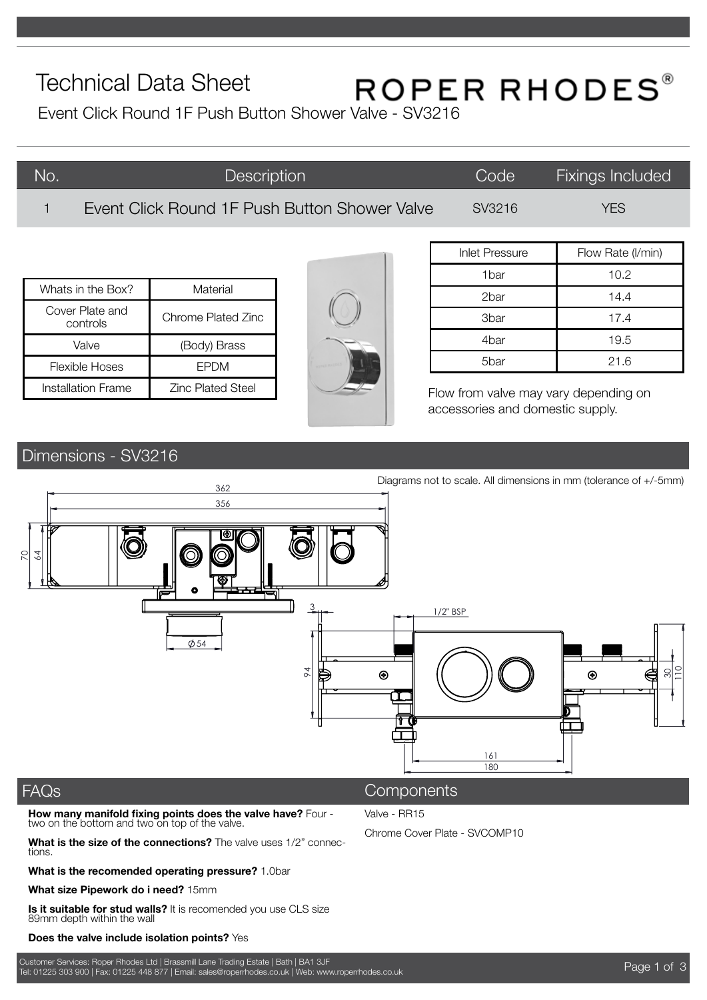# Technical Data Sheet

# ROPER RHODES®

Event Click Round 1F Push Button Shower Valve - SV3216

| No. | <b>Description</b>                            | Code   | <b>Fixings Included</b> |
|-----|-----------------------------------------------|--------|-------------------------|
|     | Event Click Round 1F Push Button Shower Valve | SV3216 | YFS                     |

| Whats in the Box?           | Material                 |  |
|-----------------------------|--------------------------|--|
| Cover Plate and<br>controls | Chrome Plated Zinc       |  |
| Valve                       | (Body) Brass             |  |
| Flexible Hoses              | <b>FPDM</b>              |  |
| Installation Frame          | <b>Zinc Plated Steel</b> |  |



| <b>Inlet Pressure</b> | Flow Rate (I/min) |  |
|-----------------------|-------------------|--|
| 1bar                  | 10.2              |  |
| 2bar                  | 14.4              |  |
| 3bar                  | 17.4              |  |
| 4bar                  | 19.5              |  |
| 5bar                  | 21.6              |  |

Flow from valve may vary depending on accessories and domestic supply.

# Dimensions - SV3216



Valve - RR15

Chrome Cover Plate - SVCOMP10

### FAQs

**How many manifold fixing points does the valve have?** Four two on the bottom and two on top of the valve.

**What is the size of the connections?** The valve uses 1/2" connections.

**What is the recomended operating pressure?** 1.0bar

**What size Pipework do i need?** 15mm

**Is it suitable for stud walls?** It is recomended you use CLS size 89mm depth within the wall

#### **Does the valve include isolation points?** Yes